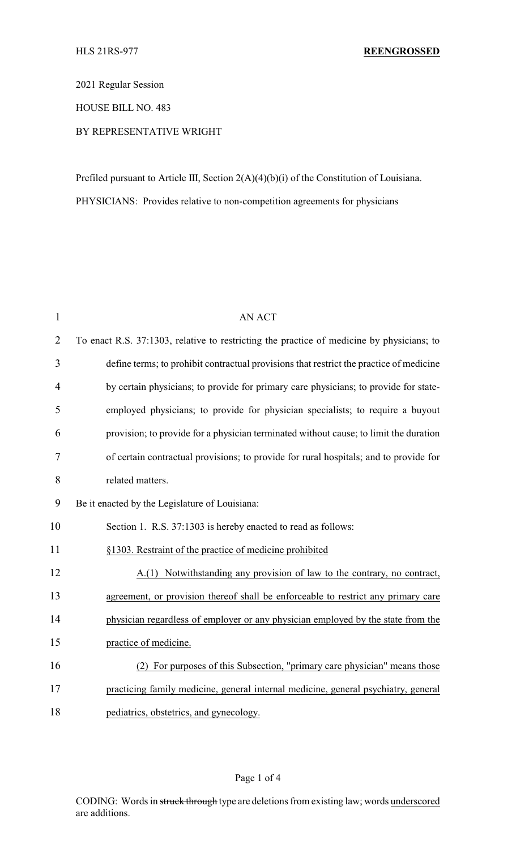2021 Regular Session

HOUSE BILL NO. 483

## BY REPRESENTATIVE WRIGHT

Prefiled pursuant to Article III, Section 2(A)(4)(b)(i) of the Constitution of Louisiana. PHYSICIANS: Provides relative to non-competition agreements for physicians

| $\mathbf{1}$   | <b>AN ACT</b>                                                                             |
|----------------|-------------------------------------------------------------------------------------------|
| $\overline{2}$ | To enact R.S. 37:1303, relative to restricting the practice of medicine by physicians; to |
| 3              | define terms; to prohibit contractual provisions that restrict the practice of medicine   |
| $\overline{4}$ | by certain physicians; to provide for primary care physicians; to provide for state-      |
| 5              | employed physicians; to provide for physician specialists; to require a buyout            |
| 6              | provision; to provide for a physician terminated without cause; to limit the duration     |
| 7              | of certain contractual provisions; to provide for rural hospitals; and to provide for     |
| 8              | related matters.                                                                          |
| 9              | Be it enacted by the Legislature of Louisiana:                                            |
| 10             | Section 1. R.S. 37:1303 is hereby enacted to read as follows:                             |
| 11             | §1303. Restraint of the practice of medicine prohibited                                   |
| 12             | A.(1) Notwithstanding any provision of law to the contrary, no contract,                  |
| 13             | agreement, or provision thereof shall be enforceable to restrict any primary care         |
| 14             | physician regardless of employer or any physician employed by the state from the          |
| 15             | practice of medicine.                                                                     |
| 16             | (2) For purposes of this Subsection, "primary care physician" means those                 |
| 17             | practicing family medicine, general internal medicine, general psychiatry, general        |
| 18             | pediatrics, obstetrics, and gynecology.                                                   |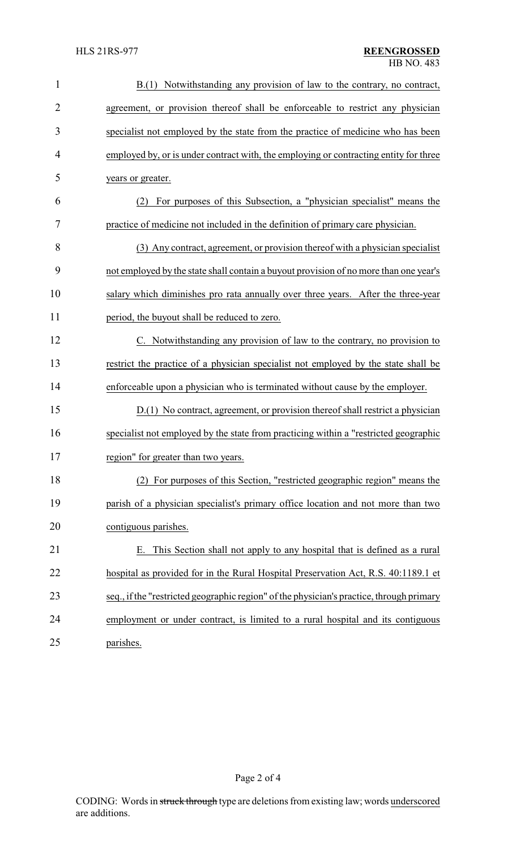| $\mathbf{1}$   | B.(1) Notwithstanding any provision of law to the contrary, no contract,                 |  |  |
|----------------|------------------------------------------------------------------------------------------|--|--|
| $\overline{2}$ | agreement, or provision thereof shall be enforceable to restrict any physician           |  |  |
| 3              | specialist not employed by the state from the practice of medicine who has been          |  |  |
| $\overline{4}$ | employed by, or is under contract with, the employing or contracting entity for three    |  |  |
| 5              | years or greater.                                                                        |  |  |
| 6              | For purposes of this Subsection, a "physician specialist" means the<br>(2)               |  |  |
| 7              | practice of medicine not included in the definition of primary care physician.           |  |  |
| 8              | (3) Any contract, agreement, or provision thereof with a physician specialist            |  |  |
| 9              | not employed by the state shall contain a buyout provision of no more than one year's    |  |  |
| 10             | salary which diminishes pro rata annually over three years. After the three-year         |  |  |
| 11             | period, the buyout shall be reduced to zero.                                             |  |  |
| 12             | C. Notwithstanding any provision of law to the contrary, no provision to                 |  |  |
| 13             | restrict the practice of a physician specialist not employed by the state shall be       |  |  |
| 14             | enforceable upon a physician who is terminated without cause by the employer.            |  |  |
| 15             | D.(1) No contract, agreement, or provision thereof shall restrict a physician            |  |  |
| 16             | specialist not employed by the state from practicing within a "restricted geographic     |  |  |
| 17             | region" for greater than two years.                                                      |  |  |
| 18             | For purposes of this Section, "restricted geographic region" means the<br>(2)            |  |  |
| 19             | parish of a physician specialist's primary office location and not more than two         |  |  |
| 20             | contiguous parishes.                                                                     |  |  |
| 21             | This Section shall not apply to any hospital that is defined as a rural                  |  |  |
| 22             | hospital as provided for in the Rural Hospital Preservation Act, R.S. 40:1189.1 et       |  |  |
| 23             | seq., if the "restricted geographic region" of the physician's practice, through primary |  |  |
| 24             | employment or under contract, is limited to a rural hospital and its contiguous          |  |  |
| 25             | parishes.                                                                                |  |  |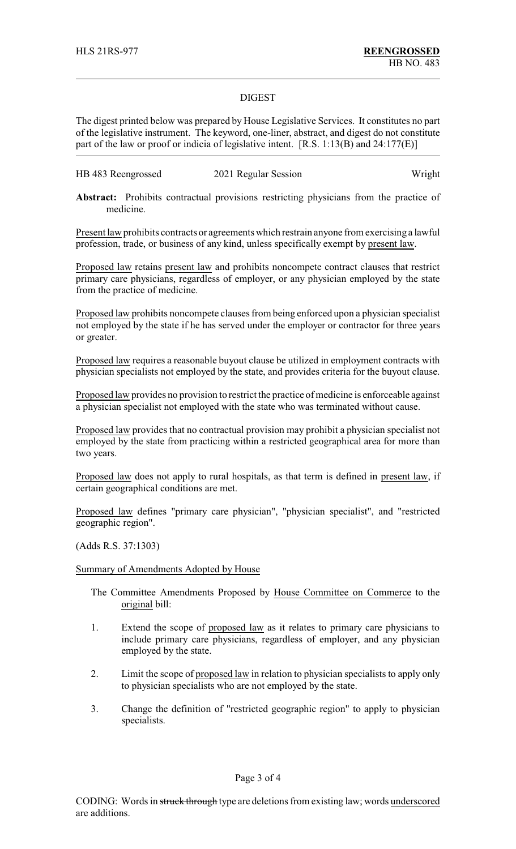## DIGEST

The digest printed below was prepared by House Legislative Services. It constitutes no part of the legislative instrument. The keyword, one-liner, abstract, and digest do not constitute part of the law or proof or indicia of legislative intent. [R.S. 1:13(B) and 24:177(E)]

| HB 483 Reengrossed | 2021 Regular Session | Wright |
|--------------------|----------------------|--------|
|--------------------|----------------------|--------|

**Abstract:** Prohibits contractual provisions restricting physicians from the practice of medicine.

Present law prohibits contracts or agreements which restrain anyone from exercising a lawful profession, trade, or business of any kind, unless specifically exempt by present law.

Proposed law retains present law and prohibits noncompete contract clauses that restrict primary care physicians, regardless of employer, or any physician employed by the state from the practice of medicine.

Proposed law prohibits noncompete clauses from being enforced upon a physician specialist not employed by the state if he has served under the employer or contractor for three years or greater.

Proposed law requires a reasonable buyout clause be utilized in employment contracts with physician specialists not employed by the state, and provides criteria for the buyout clause.

Proposed law provides no provision to restrict the practice of medicine is enforceable against a physician specialist not employed with the state who was terminated without cause.

Proposed law provides that no contractual provision may prohibit a physician specialist not employed by the state from practicing within a restricted geographical area for more than two years.

Proposed law does not apply to rural hospitals, as that term is defined in present law, if certain geographical conditions are met.

Proposed law defines "primary care physician", "physician specialist", and "restricted geographic region".

(Adds R.S. 37:1303)

## Summary of Amendments Adopted by House

- The Committee Amendments Proposed by House Committee on Commerce to the original bill:
- 1. Extend the scope of proposed law as it relates to primary care physicians to include primary care physicians, regardless of employer, and any physician employed by the state.
- 2. Limit the scope of proposed law in relation to physician specialists to apply only to physician specialists who are not employed by the state.
- 3. Change the definition of "restricted geographic region" to apply to physician specialists.